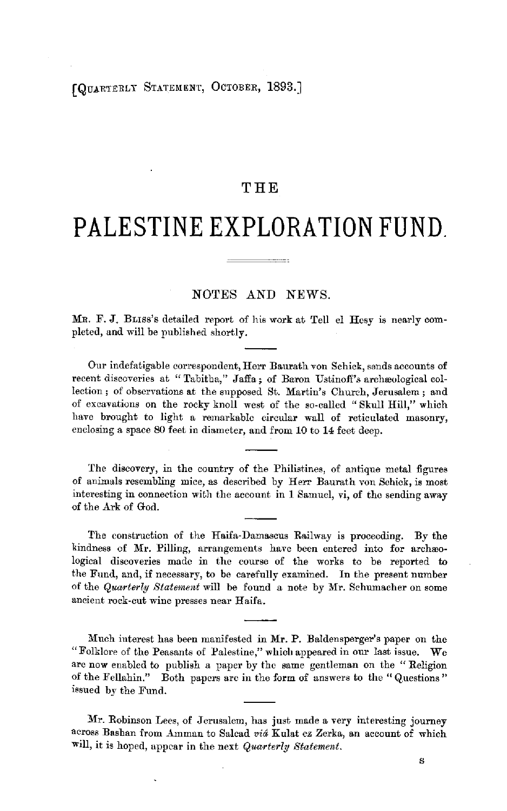## **THE**

## **PALESTINE EXPLORATION FUND.**

## **NOTES AND NEWS.**

MR. F. **J.** BL1ss's detailed report of his work at Tell el Hesy 1s nearly completed, and will be published shortly.

Our indefatigable correspondent, Herr Baurath von Schick, sends accounts of recent discoveries at "Tabitha," Jaffa; of Baron Ustinoff's archæological collection; of observations at the supposed St. Martin's Church, Jerusalem; and of excavations on the rocky knoll west of the so-called " Skull Hill," which have brought to light a remarkable circular wall of reticulated masonry, enclosing a space 80 feet in diameter, and from 10 to 14 feet deep.

The discovery, in the country of the Philistines, of antique metal figures of animals resembling mice, as described by Herr Baurath von Schick, is most interesting in connection with the account in 1 Samuel, vi, of the sending away of the Ark of God.

The construction of the Haifa-Damascus Railway is proceeding. By the kindness of Mr. Pilling, arrangements have been entered into for archeological discoveries made in the course of the works to be reported to the Fund, and, if necessary, to be carefully examined. In the present number of the *Quarterly Statement* will be found a note by Mr. Schumacher on some ancient rock-cut wine presses near Haifa.

Much interest has been manifested in Mr. P. Baldensperger's paper on the "Folklore of the Peasants of Palestine," which appeared in our last issue. We arc now enabled to publish a paper by the same gentleman on the " Religion of the Fellahin." Both papers arc in the form of answers to the "Questions" issued by the Fund.

Mr. Robinson Lees, of Jerusalem, has just made a very interesting journey across Bashan from Amman to Salcad *via* Kulat ez Zerka, an account of which will, it is hoped, appear in the next *Quarterly Statement*.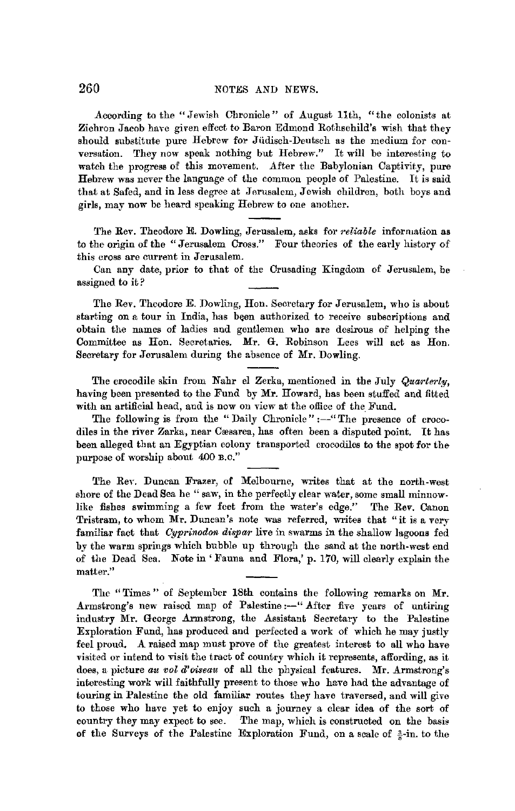According to the "Jewish Chronicle" of August 11th, "the colonists at Zichron Jacob have given effect to Baron Edmond Rothschild's wish that they should substitute pure Hebrew for Jiidisch-Deutsch as the medium for conversation. They now speak nothing but Hebrew." It will be interesting to watch the progress of this movement. After the Babylonian Captivity, pure Hebrew was never the language of the common people of Palestine. It is said that at Safed, and in less degree at Jerusalem, Jewish children, both boys and girls, may now be heard speaking Hebrew to one another.

The Rev. Theodore E. Dowling, Jerusalem, asks for *reliable* information as to the origin of the "Jerusalem Cross." Four theories of the early history of this cross are current in Jerusalem.

Can any date, prior to that of the Crusading Kingdom of Jerusalem, be assigned to it?

The Rev. Theodore E. Dowling, Hon. Secretary for Jerusalem, who is about starting on a tour in India, has been authorized to receive subscriptions and obtain the names of ladies and gentlemen who are desirous of helping the Committee as Hon. Secretaries. Mr. G. Robinson Lees will act as Hon. Secretary for Jerusalem during the absence of Mr. Dowling.

The crocodile skin from Nahr el Zerka, mentioned in the July *Quwrterly,*  having been presented to the Fund by **Mr.** Howard, has been stuffed and fitted with an artificial head, and is now on view at the office of the Fund.

The following is from the "Daily Chronicle" :--" The presence of crocodiles in the river Zarka, near Cæsarea, has often been a disputed point. It has been alleged that an Egyptian colony transported crocodiles to the spot for the purpose of worship about 400 B.o."

The Rev. Duncan Frazer, of Melbourne, writes that at the north-west shore of the Dead Sea he "saw, in the perfectly clear water, some small minnowlike fishes swimming a few feet from the water's edge." The Rev. Canon Tristram, to whom Mr. Duncan's note was referred, writes that "it is a very familiar fact that *Cyprinodon dispar* live in swarms in the shallow lagoons fed by the warm springs which bubble up through the sand at the north-west end of the Dead Sea. Note in' Fauna and Flora,' p. 170, will clearly explain the matter."

The "Times" of September 18th contains the following remarks on **Mr.**  Armstrong's new raised map of Palestine:-"After five years of untiring industry Mr. George Armstrong, the Assistant Secretary to the Palestine Exploration Fund, has produced and perfected a work of which he may justly feel proud, A raised map must prove of the greatest interest to all who have visited or intend to visit the tract of country which it represents, affording, as it does, a picture *au vol d'oiseau* of all the physical features. Mr. Armstrong's interesting work **will** faithfully present to those who have had the advantage of touring in Palestine the old familiar routes they have traversed, and will give to those who have yet to enjoy such a journey a clear idea of the sort of country they may expect to see. The map, which is constructed on the basis of the Surveys of the Palestine Exploration Fund, on a scale of  $\frac{3}{4}$ -in. to the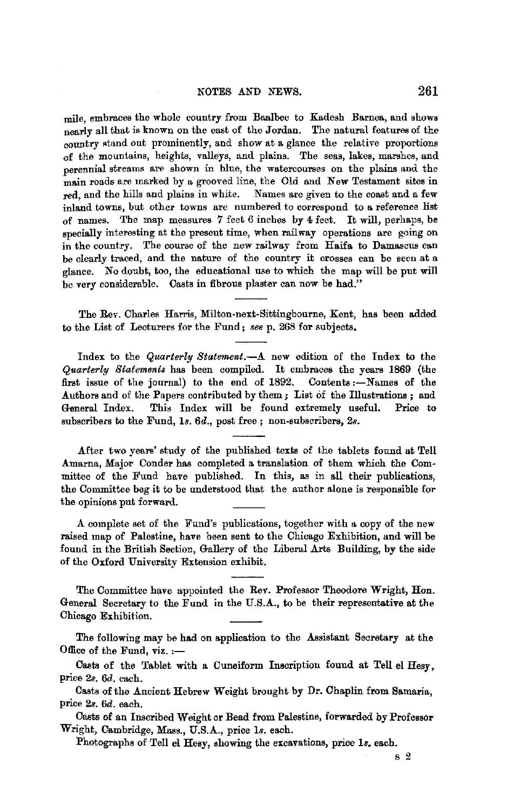mile, embraces the whole country from Baalbec to Kadesh Barnea, and shows nearly all that is known on the east of the Jordan. The natural features of the country stand out prominently, and show at a glance the relative proportions of the mountains, heights, valleys, and plains. The seas, lakes, marshes, and perennial streams are shown in blue, the watercourses on the plains and the main roads are marked by a grooved line, the Old and New Testament sites in red, and the hills and plains in white. Names are given to the coast and a few inland towns, but other towns are numbered to correspond to **a** reference list of names. The map measures 7 feet 6 inches by 4 feet. It will, perhaps, be specially interesting at the present time, when railway operations are going on in the country. The course of the new railway from Haifa to Damascus can be clearly traced, and the nature of the country it crosses can be seen at a glance. No doubt, too, the educational use to which the map will be put will be very considerable. Casts in fibrous plaster can now be had."

The Rev. Charles Harris, Milton-next-Sittingbourne, Kent, has been added to the List of Lecturers for the Fund; *see* p. 268 for subjects.

Index to the *Quarterly Statement.-A* new edition of the Index to the *Quarterly Statements* has been compiled. It embraces the years 1869 (the first issue of the journal) to the end of 1892. Contents :- Names of the Authors and of the Papers contributed by them; List of the Illustrations; and General Index. This Index will be found extremely useful. Price to subscribers to the Fund, *ls. 6d.,* post free ; non-subscribers, 2s.

After two years' study of the published texts of the tablets found at Tell Amarna, Major Conder has completed a translation of them which the Committee of the Fund have published. In this, as in all their publications, the Committee beg it to be understood that the author alone is responsible for the opinions put forward.

A complete set of the Fund's pnblications, together with a copy of the new raised map of Palostine, have been sent to the Chicago Exhibition, and will be found in the British Section, Gallery of the Liberal Arts Building, by the side of the Oxford University Extension exhibit.

The Committee have appointed the Rev. Professor Theodore Wright, Hon. General Secretary to the Fund in the U.S.A., to be their representative at the Chicago Exhibition.

The following may be had on application to the Assistant Secretary at the Office of the Fund,  $\text{viz.}:=$ 

Casts of the Tablet with a Cuneiform Inscription found at Tell el Hesy, price *2s. 6d.* each.

Casts of the Ancient Hebrew Weight brought by Dr. Chaplin from Samaria, price *2s. 6d.* each.

Casts of an Inscribed Weight or Bead from Palestine, forwarded by Professor Wright, Cambridge, Mass., U.S.A., price *Is.* each.

Photographs of Tell el Hesy, showing the excavations, price *ls.* each.

s 2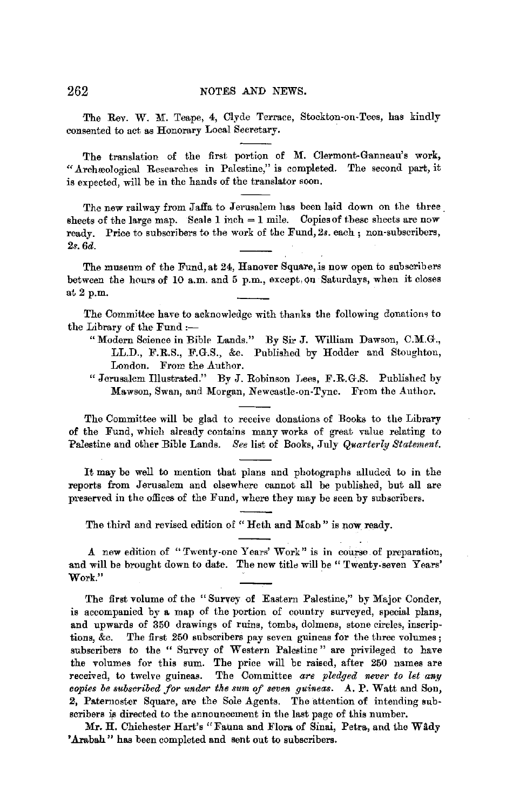The Rev. W. M. Teape, 4, Clyde Terrace, Stockton-on-Tees, has kindly consented to act as Honorary Local Secretary.

The translation of the first portion of M. Clermont-Ganneau's work, ".A.rchreological Researches in Palestine," is completed. The second part, it is expected, will be in the hands of the translator soon.

The new railway from Jaffa to Jerusalem has been laid down on the three. sheets of the large map. Scale 1 inch  $= 1$  mile. Copies of these sheets are now ready. Price to subscribers to the work of the Fund, 2s. each; non-subscribers, *2s.6d.* 

The museum of the Fund, at 24, Hanover Square, is now open to subscribers between the hours of 10 a.m. and 5 p.m., except. Qn Saturdays, when it closes at 2 p.m.

The Committee have to acknowledge with thanks the following donatiom to the Library of the Fund :-

- " Modern Science in Bible Lands." By Sir J. William Dawson, C.M.G., LL.D., F.R.S., F.G.S., &e. Published by Hodder and Stoughton, London. From the Author.
- "Jerusalem Illustrated." By J. Robinson Lees, F.R.G.S. Published by Mawson, Swan, and Morgan, Newcastle-on-Tyne. From the Author.

The Committee will be glad to receive donalions of Books to the Library of the Fund, which already contains many works of great value relating to Palestine and other Bible Lands. See list of Books, July *Quarterly Statement*.

It may be well to mention that plans and photographs alluded to in the reports from Jerusalem and elsewhere cannot all be published, but all are preserved in the offices of the Fund, where they may be seen by subscribers.

The third and revised edition of "Heth and Moab" is now ready.

.A new edition of "Twenty-one Years' Work" is in course. of preparation, and will be brought down to date. The new title will be "Twenty-seven Years' Work."

The first volume of the "Survey of Eastern Palestine," by Major Conder, is accompanied by a map of the portion of country surveyed, special plans, and upwards of 350 drawings of ruins, tombs, dolmens, stone circles, inscriptions, &c. The first 250 subscribers pay seven guineas for the three volumes; subscribers to the " Survey of Western Palestine" are privileged to have the volumes for this sum. The price will be raised, after 250 names are received, to twelve guineas. The Committee are pledged never to let any *copies be subscribed for under the sun, of seven guineas.* .A. P. Watt and Son, 2, Paternoster Square, are the Sole Agents. The attention of intending subscribers is directed to the announcement in the last page of this number.

Mr. H. Chichester Hart's "Fauna and Flora of Sinai, Petra, and the Wady 'Arabah" has been completed and sent out to subscribers.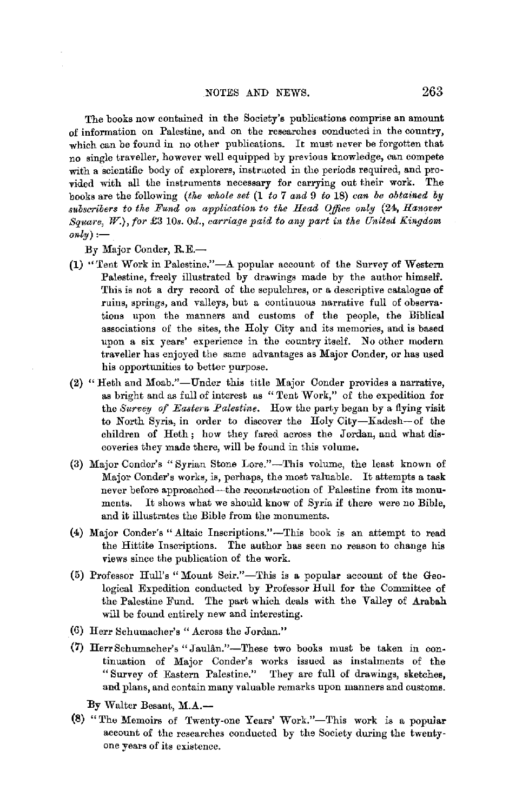The books now contained in the Society's publications comprise an amount of information on Palestine, and on the researches conducted in the country, which can be found in no other publications. It must never be forgotten that no single traveller, however well equipped by previous knowledge, oan compete with a scientific-body of explorers, instructed in the periods required, and provided with all the instruments necessary for carrying out their work. The books are the following *(the whole set* (1 *to* 7 *and* 9 *to* 18) *can be obtained by subscribers to the Fund on application to the Head OJ!foe only* (24, *Hanover Square,* W.), *for* £3 10s. *0d., earriage paid to any part in the United Kingdom*   $only$ ) :—

By Major Conder, R.E.-

- (1) "Tent Work in Palestine," $-A$  popular account of the Survey of Western Palestine, freely illustrated by drawings made by the author himself. This is not a dry record of the sepulchres, or a descriptive catalogue of ruins, springs, and valleys, but a continuous narrative full of observa• tions upon the manners and customs of the people, the Biblical associations of the sites, the Holy City and its memories, and is based upon a six years' experience in the country itself. No other modern traveller has enjoyed the same advantages as Major Conder, or has used his opportunities to better purpose.
- (2) "Heth and Moab."-Under this title Major Conder provides a narrative, as bright and as full of interest as " Tent Work," of the expedition for the *Survey of Eastern Palestine.* How the party began by a flying visit to North Syria, in order to discover the Holy City-Kadesh-of the children of Heth ; how they fared across the Jordan, and what discoveries they made there, will be found in this volume,
- (3) Major Condor's "Syrian Stone Lore."-This volume, the least known of Major Conder's works, is, perhaps, the most valuable. It attempts a task never before approached-the reconstruction of Palestine from its monuments. It shows what we should know of Syria if there were no Bible, and it illustrates the Bible from the monuments.
- (4) Major Conder's ".A.ltaic Inscriptions."-This book is an attempt to read the Hittite Inscriptions. The author has seen no reason to change his views since the publication of the work.
- (5) Professor Hull's "Mount Seir."-This is a popular account of the Geological Expedition conducted by Professor Hull for the Committee of the Palestine Fund. The part which deals with the Valley of Arabah will be found entirely new and interesting.
- (6) Herr Schumacher's "Across the Jordan."
- **(7)** Herr Schumacher's **"J** aulan."-These two books must be taken in continuation of Major Conder's works issued as instalments of the "Survey of Eastern Palestine." They are full of drawings, sketches, **and** plans, and contain many valuable remarks upon manners and customs.

By Walter Besant, M.A.-

(8) "The Memoirs of 'fwenty-one Years' Work."-This work is a popular account of the researches conducted by the Society during the twentyone years of its existence.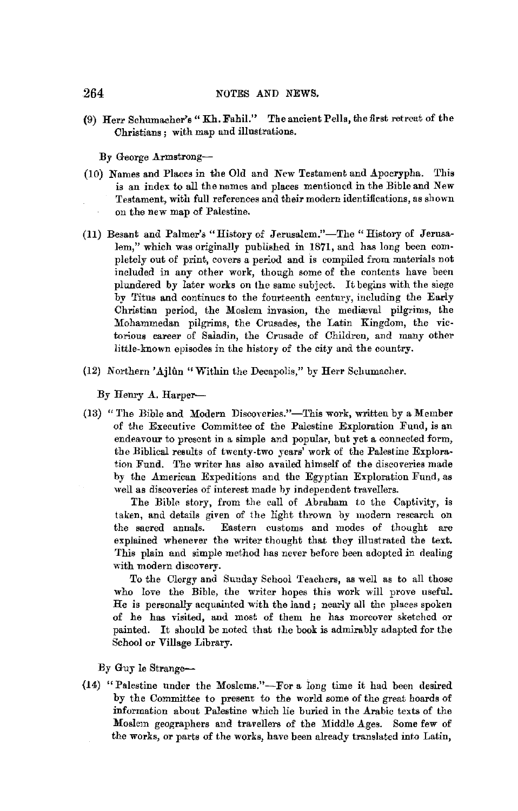(9) Herr Schumacher's" Kh. Fahil." The ancient Pella, the first retreat of the Christians ; with map and illustrations.

By George Armstrong-

- (10) Names and Places in the Old and New Testament and Apocrypha. This is an index to all the names and places mentioned in the Bible and New Testament, with full references and their modern identifications, as shown on the new map of Palestine.
- (11) Besant and Palmer's "History of Jerusalem."-The "History of Jerusalem," which was originally published in 1871, and has long been completely out of print, covers a period and is compiled from materials not included in any other work, though some of the contents have been plundered by later works on the same subject. It begins with the siege by Titus and continues to the fourteenth century, including the Early Christian period, the Moslem invasion, the mediaval pilgrims, the Mohammedan pilgrims, the Crusades, the Latin Kingdom, the victorious career of Saladin, the Crusade of Children, and many other little-known episodes in the history of the city and the country.
- (12) Northern' Ajlun "Within the Decapolis," by Herr Schumacher.

By Henry A. Harper-

(13) "The Bible and Modern Discoveries."-This work, written by a Member of the Executive Committee of the Palestine Exploration Fund, is an endeavour to present in a simple and popular, but yet a connected form, the Biblical results of twenty-two years' work of the Palestine Exploration Fund. The writer has also availed himself of the discoveries made by the American Expeditions and the Egyptian Exploration Fund, as well as discoveries of interest made hy independent travellers.

The Bible story, from the call of Abraham to the Captivity, is taken, and details given of the light thrown by modern research on the sacred annals. Eastern customs and modes of thought are explained whenever the writer thought that they illustrated the text. This plain and simple method has never before been adopted in dealing with modern discovery.

To the Clergy and Sunday School Teachers, as well as to all those who love the Bible, the writer hopes this work will prove useful. He is personally acquainted with the land ; nearly all the places spoken of he has visited, and most of them he has moreover sketched or painted. It should be noted that the book is admirably adapted for the School or Village Library.

By Guy le Strange-

{14) "Palestine nuder the Moslems."-For a long time it had been desired by the Committee to present to the world some of the great hoards of information about Palestine which lie buried in the Arabic texts of the Moslem geographers and travellers of the Middle Ages. Some few of the works, or parts of the works, have been already translated into Latin,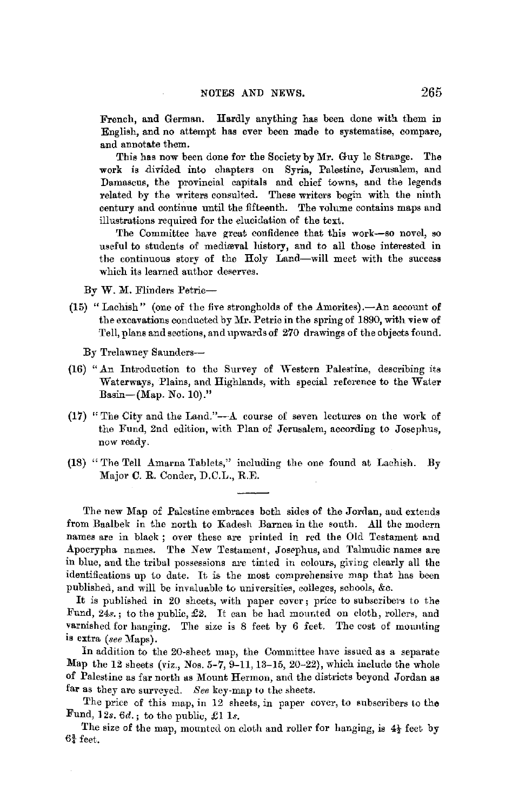French, and German. Hardly anything has been done with them in English, and no attempt has ever been made to systematise, compare, and annotate them.

This has now been done for the Society by Mr. Guy le Strange. The work is divided into chapters on Syria, Palestine, Jerusalem, and Damascus, the provincial capitals and chief towns, and the legends related by the writers consulted. These writers begin with the ninth century and continue until the fifteenth. The volume contains maps and illustrations required for the elucidation of the text.

The Committee have great confidence that this work-so novel, so useful to students of mediæval history, and to all those interested in the continuous story of the Holy Land-will meet with the success which its learned author deserves.

By W. M. Flinders Petrie-

(15) "Lachish" (one of the five strongholds of the Amorites). $-An$  account of the excavations conducted by Mr. Petrie in the spring of 1890, with view of Tell, plans and sections, and upwards of 270 drawings of the objects found.

By Trelawney Saunders-

- (16) "An Introduction to the Survey of Western Palestine, describing its Waterways, Plains, and Highlands, with special reference to the Water Basin-(Map. No. 10)."
- (17) "The City and the Land."--- $A$  course of seven lectures on the work of the Fund, 2nd edition, with Plan of Jerusalem, according to Josephus, now ready.
- (18) "The Tell Amarna Tablets," including the one found at Lachish. By Major C. R. Conder, D.C.L., R.E.

The new Map of Palestine embraces both sides of the Jordan, and extends from Baalbek in the north to Kadesh Barnea in the south. All the modern names are in black ; over these are printed in red the Old Testament and Apocrypha names. The *New* Testament, Josephus, and Talmudic names are in blue, and the tribal possessions are tinted in colours, giving clearly all the identifications up to date. It is the most comprehensive map that has been published, and will be invaluable to universities, colleges, schools, &c.

It is published in 20 sheets, with paper cover; price to subscribers to the Fund,  $24s$ ,; to the public,  $£2$ . It can be had mounted on cloth, rollers, and varnished for hanging. The size is 8 feet by 6 feet. The cost of mounting is extra *(see* Maps).

In addition to the 20-sheet map, the Committee have issued as a separate Map the 12 sheets (viz., Nos. 5-7, 9-11, 13-15, 20-22), which include the whole of Palestine as far north as Mount Hermon, and the districts beyond Jordan as far as they are surveyed. *See* key·map to the sheets.

The price of this map, in 12 sheets, in paper cover, to subscribers to the Fund, 12s. *6d.;* to the public, £1 ls.

The size of the map, mounted on cloth and roller for hanging, is  $4\frac{1}{2}$  feet by  $6\frac{3}{4}$  feet.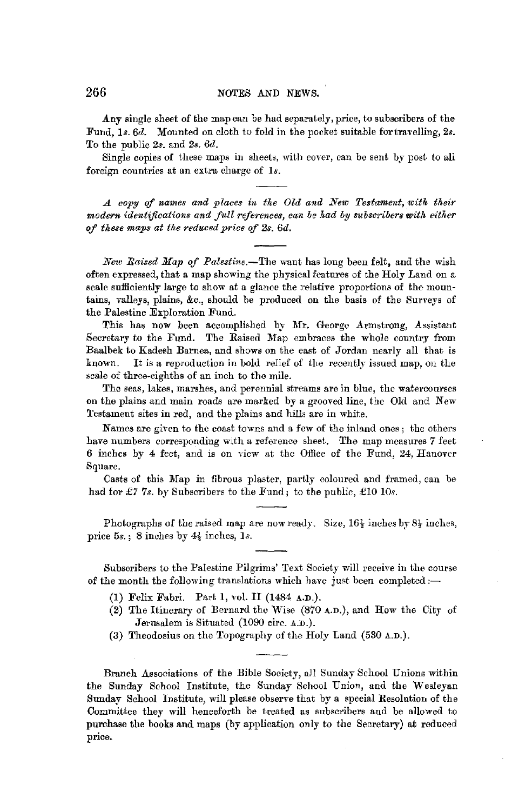Any single sheet of the map can be had separately, price, to subscribers of the Fund, 1s. 6d. Mounted on cloth to fold in the pocket suitable for travelling, 2s. To the public 2s. and *2s. 6d.* 

Single copies of these maps in sheets, with cover, can be sent by post to all foreign countries at an extra charge of *ls.* 

*A copy of names and places in the Old and New Testament, with their modern identifications and full references, can be had by subscribers with either*  of these maps at the reduced price of 2s. 6d.

*Nezr, Raised Map of Palestine.-The* want has long been felt, and the wish often expressed, that a map showing the physical features of the Holy Land on a scale sufficiently large to show at a glance the relative proportions of the mountains, valleys, plains, &c., should be produced on the basis of the Surveys of the Palestine Exploration Fund.

This has now been accomplished by Mr. George Armstrong, Assistant Secretary to the Fund. The Raised Map embraces the whole country from Baalbek to Kadesh Barnea, and shows on the east of Jordan nearly all that is known. It is a reproduction in bold relief of the recently issued map, on the scale of three-eighths of an inch to the mile.

The seas, lakes, marshes, and perennial streams are in blue, the watercourses on the plains and main roads are marked by a grooved line, the Old and New Testament sites in red, and the plains and hills are in white.

Names are given to the coast towns and a few of the inland ones; the others have numbers corresponding with a reference sheet. The map measures 7 feet 6 inches by 4 feet, and is on view at the Office of the Fund, 24, Hanover Square.

Casts of this Map in fibrous plaster, partly coloured and framed, can be had for £7 7s. by Subscribers to the Fund; to the public, £10 10s.

Photographs of the raised map are now ready. Size,  $16\frac{1}{2}$  inches by  $8\frac{1}{2}$  inches, price *5s.* ; 8 inches by 4½ inches, ls.

Subscribers to the Palestine Pilgrims' Text Society will receive in the course of the month the following translations which have just been completed: $\rightarrow$ 

- (1) Felix Fabri. Part 1, vol. II (1484 A.D.).
- (2) The Itinerary of Bernard the Wise (870 A.n.), and How the City of Jerusalem is Situated (1090 circ. A.D.).
- (3) Theodosius on the Topography of the Holy Land (530 A.n.).

Branch Associations of the Bible Society, all Sunday School Unions within the Sunday School Institute, the Sunday School Union, and the Wesleyan Sunday School Institute, will please observe that by a special Resolution of the Committee they will henceforth be treated as subscribers and be allowed to purchase the books and maps (by application only to the Secretary) at reduced price.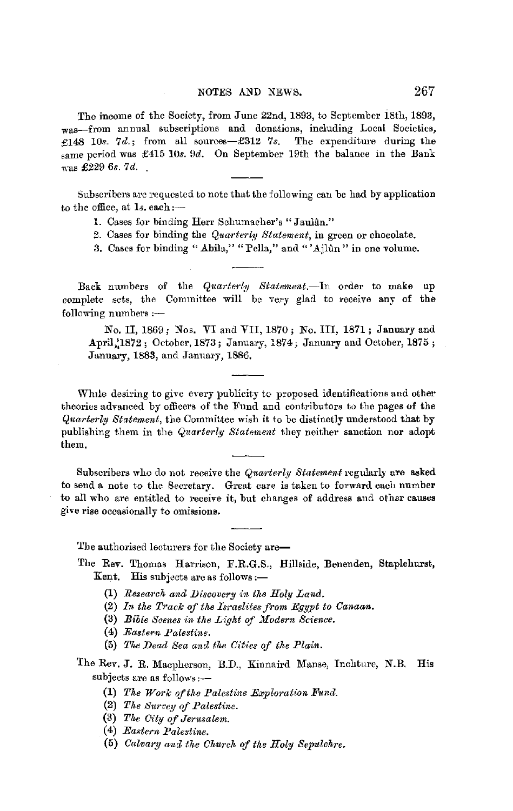The income of the Society, from June 22nd, 1893, to September iBth, 1893, was-from annual subscriptions and donations, including Local Societies, £148 10s. 7d.; from all sources-£312 7s. The expenditure during the same period was £415 10s. 9d. On September 19th the balance in the Bank was £229 *6s. 7d.* \_

Subscribers are requested to note that the following can be had by application to the office, at  $1s$ , each: $-$ 

- 1. Cases for binding Herr Schumacher's "Jaulân."
- 2. Cases for binding the *Quarterly Statement,* in green or chocolate.

3. Cases for binding "Abila," "Pella," and "'Ajlûn" in one volume.

Back numbers of the *Quarterly Statement*.-In order to make up complete sets, the Committee will be very glad to receive any of the following numbers:-

No. II, 1869; Nos. VI and VII, 1870; No. III, 1871; January and April, 1872; October, 1873; January, 1874; January and October, 1875; January, 1883, and January, 1886,

While desiring to give every publicity to proposed identifications and other theories advanced by officers of the Fund and contributors to the pages of the *Quarterly Statement,* the Committee wish it to be distinctly understood that by publishing them in the *Quarterly Statement* they neither sanction nor adopt them.

Subscribers who do not receive the *Quarterly Statement* regularly are asked to send a note to the Secretary. Great care is taken to forward each number to all who are entitled to receive it, but changes of address and other causes give rise occasionally to omissiom.

The authorised lecturers for the Society are-

- The Rev. Thomas Harrison, F.R.G.S., Hillside, Benenden, Staplehurst, Kent. His subjects are as follows:-
	- (1) *Research and Dfacovery in the Holy Land.*
	- (2) In the Track of the Israelites from Egypt to Canaan.
	- (3) *Bible Scenes in the Light of Modern Science.*
	- (4) *Eastern Palestine.*
	- (5) *The Dead Sea and the Cities of the Plain.*
- The Rev. J. R. Macpherson, B.D., Kinnaird Manse, Inchture, N.B. His subjects are as follows:-
	- (1) *The Work ofthe Palestine Exploration Fund.*
	- (2) *The Survey of Palestine.*
	- (3) *The City of Jerusalem.*
	- (4) *Eastern Palestine.*
	- (5) *Calvary ancl the Church of the Holy Sepulchre.*